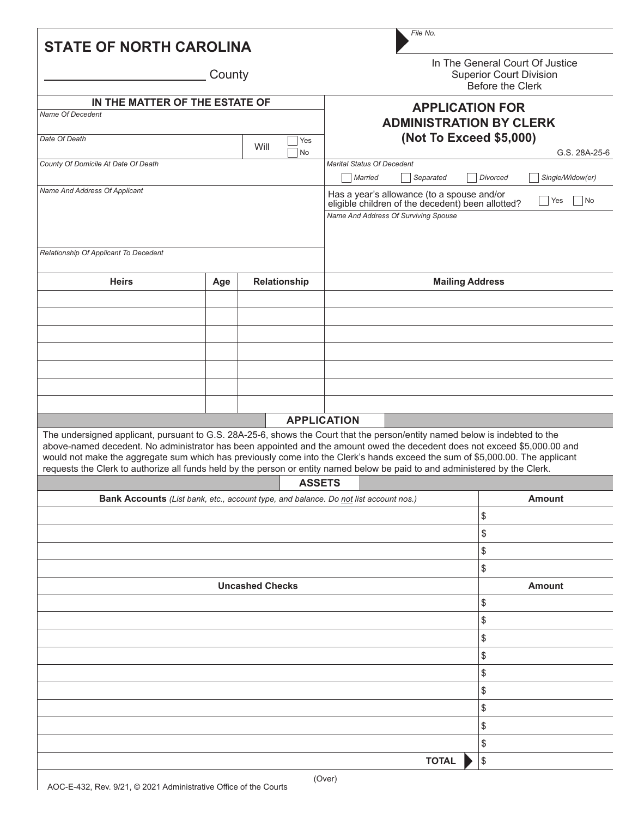| In The General Court Of Justice<br>County<br><b>Superior Court Division</b><br>Before the Clerk<br>IN THE MATTER OF THE ESTATE OF<br><b>APPLICATION FOR</b><br>Name Of Decedent<br><b>ADMINISTRATION BY CLERK</b><br>(Not To Exceed \$5,000)<br>Date Of Death<br>Yes<br>Will<br>No<br>County Of Domicile At Date Of Death<br><b>Marital Status Of Decedent</b><br>Single/Widow(er)<br>Married<br>Separated<br>Divorced<br>Name And Address Of Applicant<br>Has a year's allowance (to a spouse and/or<br>$\overline{\phantom{a}}$ No<br>Yes<br>eligible children of the decedent) been allotted?<br>Name And Address Of Surviving Spouse<br>Relationship Of Applicant To Decedent<br><b>Heirs</b><br>Relationship<br><b>Mailing Address</b><br>Age<br><b>APPLICATION</b><br>The undersigned applicant, pursuant to G.S. 28A-25-6, shows the Court that the person/entity named below is indebted to the<br>above-named decedent. No administrator has been appointed and the amount owed the decedent does not exceed \$5,000.00 and<br>would not make the aggregate sum which has previously come into the Clerk's hands exceed the sum of \$5,000.00. The applicant<br>requests the Clerk to authorize all funds held by the person or entity named below be paid to and administered by the Clerk.<br><b>ASSETS</b><br><b>Amount</b><br>Bank Accounts (List bank, etc., account type, and balance. Do not list account nos.)<br>\$<br>\$<br>\$<br>\$<br><b>Uncashed Checks</b><br><b>Amount</b><br>\$<br>\$<br>\$<br>\$<br>\$ | <b>STATE OF NORTH CAROLINA</b> |  |  |  |  |               | File No. |    |  |  |
|----------------------------------------------------------------------------------------------------------------------------------------------------------------------------------------------------------------------------------------------------------------------------------------------------------------------------------------------------------------------------------------------------------------------------------------------------------------------------------------------------------------------------------------------------------------------------------------------------------------------------------------------------------------------------------------------------------------------------------------------------------------------------------------------------------------------------------------------------------------------------------------------------------------------------------------------------------------------------------------------------------------------------------------------------------------------------------------------------------------------------------------------------------------------------------------------------------------------------------------------------------------------------------------------------------------------------------------------------------------------------------------------------------------------------------------------------------------------------------------------------------------------------------|--------------------------------|--|--|--|--|---------------|----------|----|--|--|
|                                                                                                                                                                                                                                                                                                                                                                                                                                                                                                                                                                                                                                                                                                                                                                                                                                                                                                                                                                                                                                                                                                                                                                                                                                                                                                                                                                                                                                                                                                                                  |                                |  |  |  |  |               |          |    |  |  |
|                                                                                                                                                                                                                                                                                                                                                                                                                                                                                                                                                                                                                                                                                                                                                                                                                                                                                                                                                                                                                                                                                                                                                                                                                                                                                                                                                                                                                                                                                                                                  |                                |  |  |  |  |               |          |    |  |  |
|                                                                                                                                                                                                                                                                                                                                                                                                                                                                                                                                                                                                                                                                                                                                                                                                                                                                                                                                                                                                                                                                                                                                                                                                                                                                                                                                                                                                                                                                                                                                  |                                |  |  |  |  |               |          |    |  |  |
|                                                                                                                                                                                                                                                                                                                                                                                                                                                                                                                                                                                                                                                                                                                                                                                                                                                                                                                                                                                                                                                                                                                                                                                                                                                                                                                                                                                                                                                                                                                                  |                                |  |  |  |  | G.S. 28A-25-6 |          |    |  |  |
|                                                                                                                                                                                                                                                                                                                                                                                                                                                                                                                                                                                                                                                                                                                                                                                                                                                                                                                                                                                                                                                                                                                                                                                                                                                                                                                                                                                                                                                                                                                                  |                                |  |  |  |  |               |          |    |  |  |
|                                                                                                                                                                                                                                                                                                                                                                                                                                                                                                                                                                                                                                                                                                                                                                                                                                                                                                                                                                                                                                                                                                                                                                                                                                                                                                                                                                                                                                                                                                                                  |                                |  |  |  |  |               |          |    |  |  |
|                                                                                                                                                                                                                                                                                                                                                                                                                                                                                                                                                                                                                                                                                                                                                                                                                                                                                                                                                                                                                                                                                                                                                                                                                                                                                                                                                                                                                                                                                                                                  |                                |  |  |  |  |               |          |    |  |  |
|                                                                                                                                                                                                                                                                                                                                                                                                                                                                                                                                                                                                                                                                                                                                                                                                                                                                                                                                                                                                                                                                                                                                                                                                                                                                                                                                                                                                                                                                                                                                  |                                |  |  |  |  |               |          |    |  |  |
|                                                                                                                                                                                                                                                                                                                                                                                                                                                                                                                                                                                                                                                                                                                                                                                                                                                                                                                                                                                                                                                                                                                                                                                                                                                                                                                                                                                                                                                                                                                                  |                                |  |  |  |  |               |          |    |  |  |
|                                                                                                                                                                                                                                                                                                                                                                                                                                                                                                                                                                                                                                                                                                                                                                                                                                                                                                                                                                                                                                                                                                                                                                                                                                                                                                                                                                                                                                                                                                                                  |                                |  |  |  |  |               |          |    |  |  |
|                                                                                                                                                                                                                                                                                                                                                                                                                                                                                                                                                                                                                                                                                                                                                                                                                                                                                                                                                                                                                                                                                                                                                                                                                                                                                                                                                                                                                                                                                                                                  |                                |  |  |  |  |               |          |    |  |  |
|                                                                                                                                                                                                                                                                                                                                                                                                                                                                                                                                                                                                                                                                                                                                                                                                                                                                                                                                                                                                                                                                                                                                                                                                                                                                                                                                                                                                                                                                                                                                  |                                |  |  |  |  |               |          |    |  |  |
|                                                                                                                                                                                                                                                                                                                                                                                                                                                                                                                                                                                                                                                                                                                                                                                                                                                                                                                                                                                                                                                                                                                                                                                                                                                                                                                                                                                                                                                                                                                                  |                                |  |  |  |  |               |          |    |  |  |
|                                                                                                                                                                                                                                                                                                                                                                                                                                                                                                                                                                                                                                                                                                                                                                                                                                                                                                                                                                                                                                                                                                                                                                                                                                                                                                                                                                                                                                                                                                                                  |                                |  |  |  |  |               |          |    |  |  |
|                                                                                                                                                                                                                                                                                                                                                                                                                                                                                                                                                                                                                                                                                                                                                                                                                                                                                                                                                                                                                                                                                                                                                                                                                                                                                                                                                                                                                                                                                                                                  |                                |  |  |  |  |               |          |    |  |  |
|                                                                                                                                                                                                                                                                                                                                                                                                                                                                                                                                                                                                                                                                                                                                                                                                                                                                                                                                                                                                                                                                                                                                                                                                                                                                                                                                                                                                                                                                                                                                  |                                |  |  |  |  |               |          |    |  |  |
|                                                                                                                                                                                                                                                                                                                                                                                                                                                                                                                                                                                                                                                                                                                                                                                                                                                                                                                                                                                                                                                                                                                                                                                                                                                                                                                                                                                                                                                                                                                                  |                                |  |  |  |  |               |          |    |  |  |
|                                                                                                                                                                                                                                                                                                                                                                                                                                                                                                                                                                                                                                                                                                                                                                                                                                                                                                                                                                                                                                                                                                                                                                                                                                                                                                                                                                                                                                                                                                                                  |                                |  |  |  |  |               |          |    |  |  |
|                                                                                                                                                                                                                                                                                                                                                                                                                                                                                                                                                                                                                                                                                                                                                                                                                                                                                                                                                                                                                                                                                                                                                                                                                                                                                                                                                                                                                                                                                                                                  |                                |  |  |  |  |               |          |    |  |  |
|                                                                                                                                                                                                                                                                                                                                                                                                                                                                                                                                                                                                                                                                                                                                                                                                                                                                                                                                                                                                                                                                                                                                                                                                                                                                                                                                                                                                                                                                                                                                  |                                |  |  |  |  |               |          |    |  |  |
|                                                                                                                                                                                                                                                                                                                                                                                                                                                                                                                                                                                                                                                                                                                                                                                                                                                                                                                                                                                                                                                                                                                                                                                                                                                                                                                                                                                                                                                                                                                                  |                                |  |  |  |  |               |          |    |  |  |
|                                                                                                                                                                                                                                                                                                                                                                                                                                                                                                                                                                                                                                                                                                                                                                                                                                                                                                                                                                                                                                                                                                                                                                                                                                                                                                                                                                                                                                                                                                                                  |                                |  |  |  |  |               |          |    |  |  |
|                                                                                                                                                                                                                                                                                                                                                                                                                                                                                                                                                                                                                                                                                                                                                                                                                                                                                                                                                                                                                                                                                                                                                                                                                                                                                                                                                                                                                                                                                                                                  |                                |  |  |  |  |               |          |    |  |  |
|                                                                                                                                                                                                                                                                                                                                                                                                                                                                                                                                                                                                                                                                                                                                                                                                                                                                                                                                                                                                                                                                                                                                                                                                                                                                                                                                                                                                                                                                                                                                  |                                |  |  |  |  |               |          |    |  |  |
|                                                                                                                                                                                                                                                                                                                                                                                                                                                                                                                                                                                                                                                                                                                                                                                                                                                                                                                                                                                                                                                                                                                                                                                                                                                                                                                                                                                                                                                                                                                                  |                                |  |  |  |  |               |          |    |  |  |
|                                                                                                                                                                                                                                                                                                                                                                                                                                                                                                                                                                                                                                                                                                                                                                                                                                                                                                                                                                                                                                                                                                                                                                                                                                                                                                                                                                                                                                                                                                                                  |                                |  |  |  |  |               |          |    |  |  |
|                                                                                                                                                                                                                                                                                                                                                                                                                                                                                                                                                                                                                                                                                                                                                                                                                                                                                                                                                                                                                                                                                                                                                                                                                                                                                                                                                                                                                                                                                                                                  |                                |  |  |  |  |               |          |    |  |  |
|                                                                                                                                                                                                                                                                                                                                                                                                                                                                                                                                                                                                                                                                                                                                                                                                                                                                                                                                                                                                                                                                                                                                                                                                                                                                                                                                                                                                                                                                                                                                  |                                |  |  |  |  |               |          | \$ |  |  |
| \$                                                                                                                                                                                                                                                                                                                                                                                                                                                                                                                                                                                                                                                                                                                                                                                                                                                                                                                                                                                                                                                                                                                                                                                                                                                                                                                                                                                                                                                                                                                               |                                |  |  |  |  |               |          |    |  |  |
| \$                                                                                                                                                                                                                                                                                                                                                                                                                                                                                                                                                                                                                                                                                                                                                                                                                                                                                                                                                                                                                                                                                                                                                                                                                                                                                                                                                                                                                                                                                                                               |                                |  |  |  |  |               |          |    |  |  |
| \$                                                                                                                                                                                                                                                                                                                                                                                                                                                                                                                                                                                                                                                                                                                                                                                                                                                                                                                                                                                                                                                                                                                                                                                                                                                                                                                                                                                                                                                                                                                               |                                |  |  |  |  |               |          |    |  |  |
| <b>TOTAL</b><br>\$                                                                                                                                                                                                                                                                                                                                                                                                                                                                                                                                                                                                                                                                                                                                                                                                                                                                                                                                                                                                                                                                                                                                                                                                                                                                                                                                                                                                                                                                                                               |                                |  |  |  |  |               |          |    |  |  |